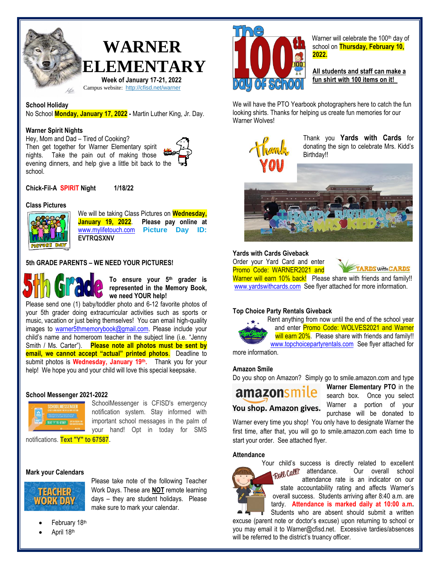

Campus website: <http://cfisd.net/warner>

# **School Holiday**

No School **Monday, January 17, 2022 -** Martin Luther King, Jr. Day.

## **Warner Spirit Nights**

Hey, Mom and Dad – Tired of Cooking? Then get together for Warner Elementary spirit nights. Take the pain out of making those evening dinners, and help give a little bit back to the school.



**Chick-Fil-A SPIRIT Night 1/18/22**

## **Class Pictures**



We will be taking Class Pictures on **Wednesday, January 19, 2022**. **Please pay online at** [www.mylifetouch.com](http://www.mylifetouch.com/) **Picture Day ID: EVTRQSXNV**

# **5th GRADE PARENTS – WE NEED YOUR PICTURES!**



**To ensure your 5th grader is represented in the Memory Book, we need YOUR help!** 

Please send one (1) baby/toddler photo and 6-12 favorite photos of your 5th grader doing extracurricular activities such as sports or music, vacation or just being themselves! You can email high-quality images to [warner5thmemorybook@gmail.com.](mailto:warner5thmemorybook@gmail.com) Please include your child's name and homeroom teacher in the subject line (i.e. "Jenny Smith / Ms. Carter"). **Please note all photos must be sent by email, we cannot accept "actual" printed photos**. Deadline to submit photos is **Wednesday, January 19th .** Thank you for your help! We hope you and your child will love this special keepsake.

#### **School Messenger 2021-2022**



SchoolMessenger is CFISD's emergency notification system. Stay informed with important school messages in the palm of your hand! Opt in today for SMS

notifications. **Text "Y" to 67587**.

#### **Mark your Calendars**



Please take note of the following Teacher Work Days. These are **NOT** remote learning days – they are student holidays. Please make sure to mark your calendar.

- February 18th
- April 18th



Warner will celebrate the 100<sup>th</sup> day of school on **Thursday, February 10, 2022.**

**All students and staff can make a fun shirt with 100 items on it!** 

We will have the PTO Yearbook photographers here to catch the fun looking shirts. Thanks for helping us create fun memories for our Warner Wolves!



Thank you **Yards with Cards** for donating the sign to celebrate Mrs. Kidd's Birthday!!



## **Yards with Cards Giveback**

Order your Yard Card and enter Promo Code: WARNER2021 and

**RDS WHACARDS** 

Warner will earn 10% back! Please share with friends and family!! [www.yardswithcards.com](http://www.yardswithcards.com/) See flyer attached for more information.

#### **Top Choice Party Rentals Giveback**

Rent anything from now until the end of the school year and enter Promo Code: WOLVES2021 and Warner will earn 20%. Please share with friends and family!! [www.topchoicepartyrentals.com](http://www.topchoicepartyrentals.com/) See flyer attached for

more information.

## **Amazon Smile**

Do you shop on Amazon? Simply go to smile.amazon.com and type

amazonsmile You shop. Amazon gives. **Warner Elementary PTO** in the search box. Once you select Warner a portion of your purchase will be donated to

Warner every time you shop! You only have to designate Warner the first time, after that, you will go to smile.amazon.com each time to start your order. See attached flyer.

#### **Attendance**



Your child's success is directly related to excellent<br>FROW COUL attendance. Our overall school Our overall school attendance rate is an indicator on our state accountability rating and affects Warner's overall success. Students arriving after 8:40 a.m. are tardy. **Attendance is marked daily at 10:00 a.m.** 

Students who are absent should submit a written excuse (parent note or doctor's excuse) upon returning to school or you may email it to Warner@cfisd.net. Excessive tardies/absences will be referred to the district's truancy officer.